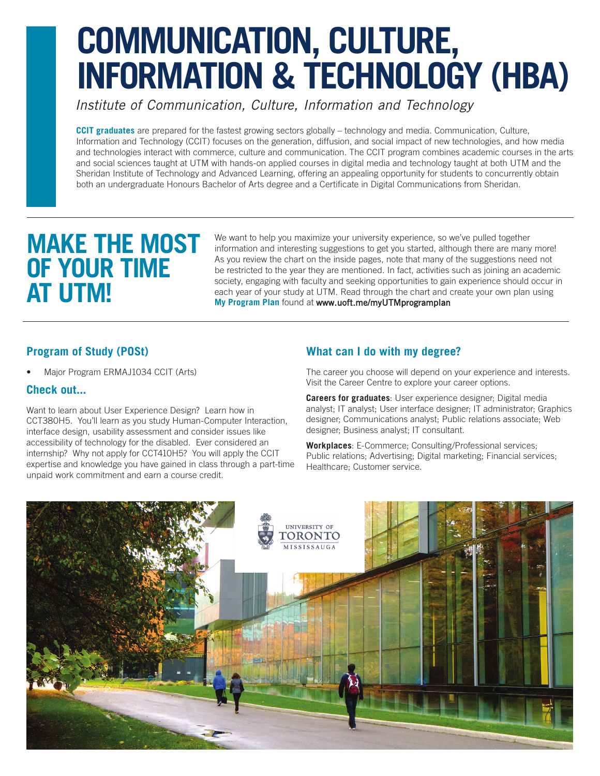# **COMMUNICATION, CULTURE, INFORMATION & TECHNOLOGY (HBA)**

*Institute of Communication, Culture, Information and Technology*

**CCIT graduates** are prepared for the fastest growing sectors globally – technology and media. Communication, Culture, Information and Technology (CCIT) focuses on the generation, diffusion, and social impact of new technologies, and how media and technologies interact with commerce, culture and communication. The CCIT program combines academic courses in the arts and social sciences taught at UTM with hands-on applied courses in digital media and technology taught at both UTM and the Sheridan Institute of Technology and Advanced Learning, offering an appealing opportunity for students to concurrently obtain both an undergraduate Honours Bachelor of Arts degree and a Certificate in Digital Communications from Sheridan.

# **MAKE THE MOST OF YOUR TIME AT UTM!**

We want to help you maximize your university experience, so we've pulled together information and interesting suggestions to get you started, although there are many more! As you review the chart on the inside pages, note that many of the suggestions need not be restricted to the year they are mentioned. In fact, activities such as joining an academic society, engaging with faculty and seeking opportunities to gain experience should occur in each year of your study at UTM. Read through the chart and create your own plan using **My Program Plan** found at <www.uoft.me/myUTMprogramplan>

# **Program of Study (POSt)**

• Major Program ERMAJ1034 CCIT (Arts)

### **Check out...**

Want to learn about User Experience Design? Learn how in CCT380H5. You'll learn as you study Human-Computer Interaction, interface design, usability assessment and consider issues like accessibility of technology for the disabled. Ever considered an internship? Why not apply for CCT410H5? You will apply the CCIT expertise and knowledge you have gained in class through a part-time unpaid work commitment and earn a course credit.

## **What can I do with my degree?**

The career you choose will depend on your experience and interests. Visit the Career Centre to explore your career options.

**Careers for graduates**: User experience designer; Digital media analyst; IT analyst; User interface designer; IT administrator; Graphics designer; Communications analyst; Public relations associate; Web designer; Business analyst; IT consultant.

**Workplaces**: E-Commerce; Consulting/Professional services; Public relations; Advertising; Digital marketing; Financial services; Healthcare; Customer service.

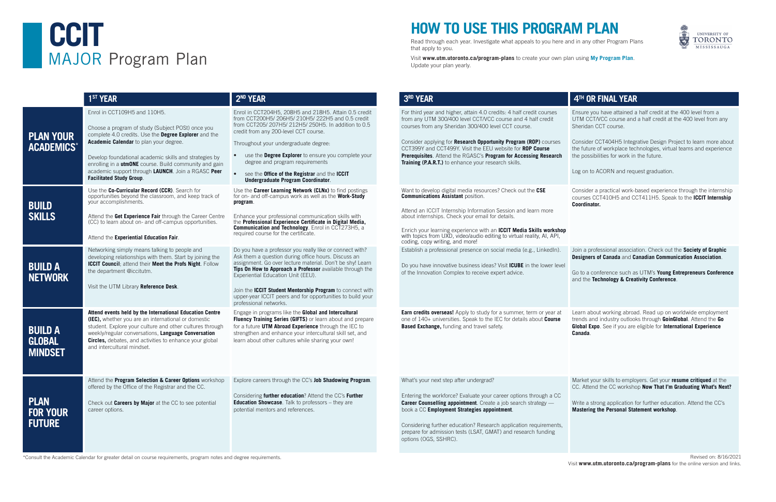# **HOW TO USE THIS PROGRAM PLAN**

Read through each year. Investigate what appeals to you here and in any other Program Plans that apply to you.

Visit **www.utm.utoronto.ca/program-plans** to create your own plan using **My Program Plan**. Update your plan yearly.

# EAR

d vear and higher, attain 4.0 credits: 4 half credit courses ry UTM 300/400 level CCT/VCC course and 4 half credit from any Sheridan 300/400 level CCT course.

# **CCIT** MAJOR Program Plan

\*Consult the Academic Calendar for greater detail on course requirements, program notes and degree requirements.



|                                                   | 1 <sup>ST</sup> YEAR                                                                                                                                                                                                                                                                                                                                                                                     | 2 <sup>ND</sup> YEAR                                                                                                                                                                                                                                                                                                                                                                                                                          | 3RD Y                                                                                     |
|---------------------------------------------------|----------------------------------------------------------------------------------------------------------------------------------------------------------------------------------------------------------------------------------------------------------------------------------------------------------------------------------------------------------------------------------------------------------|-----------------------------------------------------------------------------------------------------------------------------------------------------------------------------------------------------------------------------------------------------------------------------------------------------------------------------------------------------------------------------------------------------------------------------------------------|-------------------------------------------------------------------------------------------|
| <b>PLAN YOUR</b><br><b>ACADEMICS*</b>             | Enrol in CCT109H5 and 110H5.<br>Choose a program of study (Subject POSt) once you<br>complete 4.0 credits. Use the Degree Explorer and the<br>Academic Calendar to plan your degree.<br>Develop foundational academic skills and strategies by<br>enrolling in a <b>utmONE</b> course. Build community and gain<br>academic support through LAUNCH. Join a RGASC Peer<br><b>Facilitated Study Group.</b> | Enrol in CCT204H5, 208H5 and 218H5. Attain 0.5 credit<br>from CCT200H5/206H5/210H5/222H5 and 0.5 credit<br>from CCT205/207H5/212H5/250H5. In addition to 0.5<br>credit from any 200-level CCT course.<br>Throughout your undergraduate degree:<br>use the <b>Degree Explorer</b> to ensure you complete your<br>degree and program requirements<br>see the Office of the Registrar and the ICCIT<br><b>Undergraduate Program Coordinator.</b> | For third<br>from an<br>courses<br>Conside<br><b>CCT399</b><br>Prerequ<br><b>Training</b> |
| <b>BUILD</b><br><b>SKILLS</b>                     | Use the Co-Curricular Record (CCR). Search for<br>opportunities beyond the classroom, and keep track of<br>your accomplishments.<br>Attend the Get Experience Fair through the Career Centre<br>(CC) to learn about on- and off-campus opportunities.<br>Attend the Experiential Education Fair.                                                                                                         | Use the Career Learning Network (CLNx) to find postings<br>for on- and off-campus work as well as the Work-Study<br>program.<br>Enhance your professional communication skills with<br>the Professional Experience Certificate in Digital Media,<br><b>Communication and Technology.</b> Enrol in CCT273H5, a<br>required course for the certificate.                                                                                         | Want to<br>Commu<br>Attend<br>about in<br>Enrich y<br>with top<br>coding,                 |
| <b>BUILD A</b><br><b>NETWORK</b>                  | Networking simply means talking to people and<br>developing relationships with them. Start by joining the<br>ICCIT Council; attend their Meet the Profs Night. Follow<br>the department @iccitutm.<br>Visit the UTM Library Reference Desk.                                                                                                                                                              | Do you have a professor you really like or connect with?<br>Ask them a question during office hours. Discuss an<br>assignment. Go over lecture material. Don't be shy! Learn<br>Tips On How to Approach a Professor available through the<br>Experiential Education Unit (EEU).<br>Join the ICCIT Student Mentorship Program to connect with<br>upper-year ICCIT peers and for opportunities to build your<br>professional networks.          | Establis<br>Do you<br>of the In                                                           |
| <b>BUILD A</b><br><b>GLOBAL</b><br><b>MINDSET</b> | Attend events held by the International Education Centre<br>(IEC), whether you are an international or domestic<br>student. Explore your culture and other cultures through<br>weekly/regular conversations, Language Conversation<br><b>Circles,</b> debates, and activities to enhance your global<br>and intercultural mindset.                                                                       | Engage in programs like the <b>Global and Intercultural</b><br>Fluency Training Series (GIFTS) or learn about and prepare<br>for a future UTM Abroad Experience through the IEC to<br>strengthen and enhance your intercultural skill set, and<br>learn about other cultures while sharing your own!                                                                                                                                          | Earn cro<br>one of 1<br><b>Based E</b>                                                    |
| <b>PLAN</b><br><b>FOR YOUR</b><br><b>FUTURE</b>   | Attend the Program Selection & Career Options workshop<br>offered by the Office of the Registrar and the CC.<br>Check out Careers by Major at the CC to see potential<br>career options.                                                                                                                                                                                                                 | Explore careers through the CC's Job Shadowing Program.<br>Considering further education? Attend the CC's Further<br>Education Showcase. Talk to professors - they are<br>potential mentors and references.                                                                                                                                                                                                                                   | What's<br>Entering<br>Career<br>book a<br>Conside<br>prepare<br>options                   |

develop digital media resources? Check out the CSE **Communications Assistant** position.

an ICCIT Internship Information Session and learn more nternships. Check your email for details.

your learning experience with an **ICCIT Media Skills workshop** pics from UXD, video/audio editing to virtual reality, AI, API, copy writing, and more!

sh a professional presence on social media (e.g., LinkedIn).

have innovative business ideas? Visit **ICUBE** in the lower level nnovation Complex to receive expert advice.

**edits overseas!** Apply to study for a summer, term or year at 140+ universities. Speak to the IEC for details about **Course Exchange,** funding and travel safety.

your next step after undergrad?

g the workforce? Evaluate your career options through a CC **Counselling appointment**. Create a job search strategy — CC **Employment Strategies appointment.** 

ering further education? Research application requirements, for admission tests (LSAT, GMAT) and research funding (OGS, SSHRC).

er applying for **Research Opportunity Program (ROP)** courses CCT399Y and CCT499Y. Visit the EEU website for **ROP Course Prerequisites**. Attend the RGASC's **Program for Accessing Research Training (P.A.R.T.)** to enhance your research skills. Consider CCT404H5 Integrative Design Project to learn more about the future of workplace technologies, virtual teams and experience the possibilities for work in the future.

## **4TH OR FINAL YEAR**

Ensure you have attained a half credit at the 400 level from a UTM CCT/VCC course and a half credit at the 400 level from any Sheridan CCT course.

Log on to ACORN and request graduation.

Consider a practical work-based experience through the internship courses CCT410H5 and CCT411H5. Speak to the **ICCIT Internship Coordinator.** 

Join a professional association. Check out the **Society of Graphic Designers of Canada** and **Canadian Communication Association**.

Go to a conference such as UTM's **Young Entrepreneurs Conference** and the **Technology & Creativity Conference**.

Learn about working abroad. Read up on worldwide employment trends and industry outlooks through **GoinGlobal**. Attend the **Go Global Expo**. See if you are eligible for **International Experience Canada**.

Market your skills to employers. Get your **resume critiqued** at the CC. Attend the CC workshop **Now That I'm Graduating What's Next?**

Write a strong application for further education. Attend the CC's **Mastering the Personal Statement workshop**.

Revised on: 8/16/2021 Visit **www.utm.utoronto.ca/program-plans** for the online version and links.